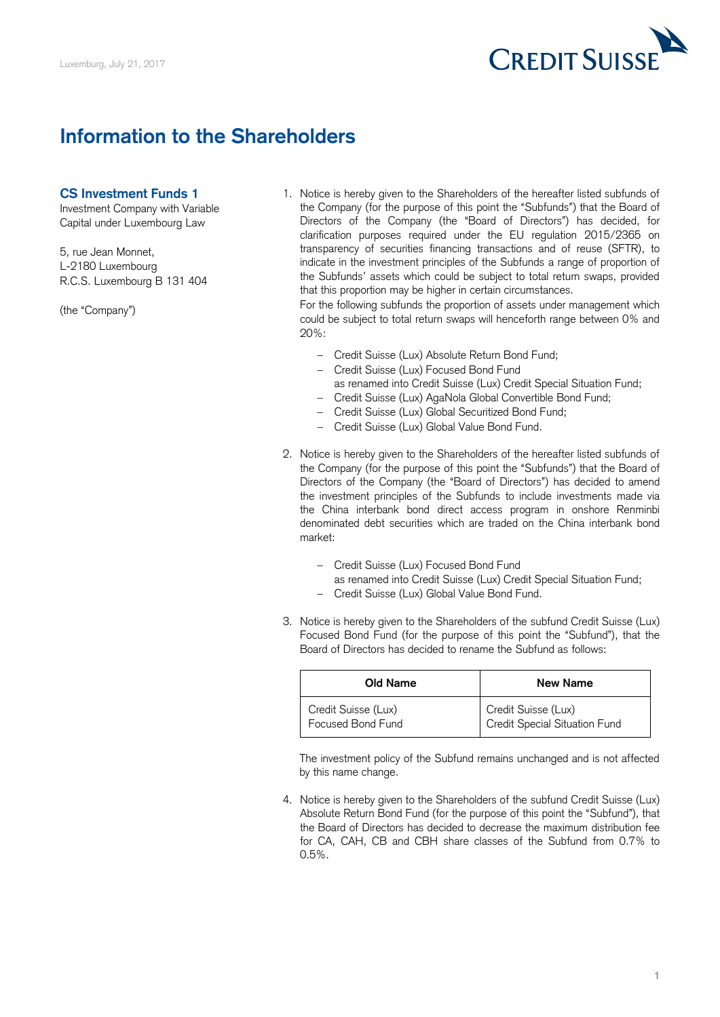

## **Information to the Shareholders**

## **CS Investment Funds 1**

 Investment Company with Variable the Company (for the purpose of this point the "Subfunds") that the Board of Capital under Luxembourg Law Directors of the Company (the "Board of Directors") has decided, for clarification purposes required under the EU regulation 2015/2365 on transparency of securities financing transactions and of reuse (SFTR), to 5, rue Jean Monnet, indicate in the investment principles of the Subfunds a range of proportion of L-2180 Luxembourg indicate in the investment principles of the Subfunds a range of proportion of the Subfunds' assets which could be subject to total return swaps, provided R.C.S. Luxembourg B 131 404 1. Notice is hereby given to the Shareholders of the hereafter listed subfunds of that this proportion may be higher in certain circumstances.

For the following subfunds the proportion of assets under management which For the following subfunds the proportion of assets under management which (the "Company") could be subject to total return swaps will henceforth range between 0% and 20%:

- Credit Suisse (Lux) Absolute Return Bond Fund;
- Credit Suisse (Lux) Focused Bond Fund as renamed into Credit Suisse (Lux) Credit Special Situation Fund;
- Credit Suisse (Lux) AgaNola Global Convertible Bond Fund;
- Credit Suisse (Lux) Global Securitized Bond Fund;
- Credit Suisse (Lux) Global Value Bond Fund.
- 2. Notice is hereby given to the Shareholders of the hereafter listed subfunds of the Company (for the purpose of this point the "Subfunds") that the Board of Directors of the Company (the "Board of Directors") has decided to amend the investment principles of the Subfunds to include investments made via the China interbank bond direct access program in onshore Renminbi denominated debt securities which are traded on the China interbank bond market:
	- Credit Suisse (Lux) Focused Bond Fund as renamed into Credit Suisse (Lux) Credit Special Situation Fund;
	- Credit Suisse (Lux) Global Value Bond Fund.
- Focused Bond Fund (for the purpose of this point the "Subfund"), that the 3. Notice is hereby given to the Shareholders of the subfund Credit Suisse (Lux) Board of Directors has decided to rename the Subfund as follows:

| Old Name            | New Name                      |
|---------------------|-------------------------------|
| Credit Suisse (Lux) | Credit Suisse (Lux)           |
| Focused Bond Fund   | Credit Special Situation Fund |

 The investment policy of the Subfund remains unchanged and is not affected by this name change.

 Absolute Return Bond Fund (for the purpose of this point the "Subfund"), that the Board of Directors has decided to decrease the maximum distribution fee for CA, CAH, CB and CBH share classes of the Subfund from 0.7% to 4. Notice is hereby given to the Shareholders of the subfund Credit Suisse (Lux) 0.5%.